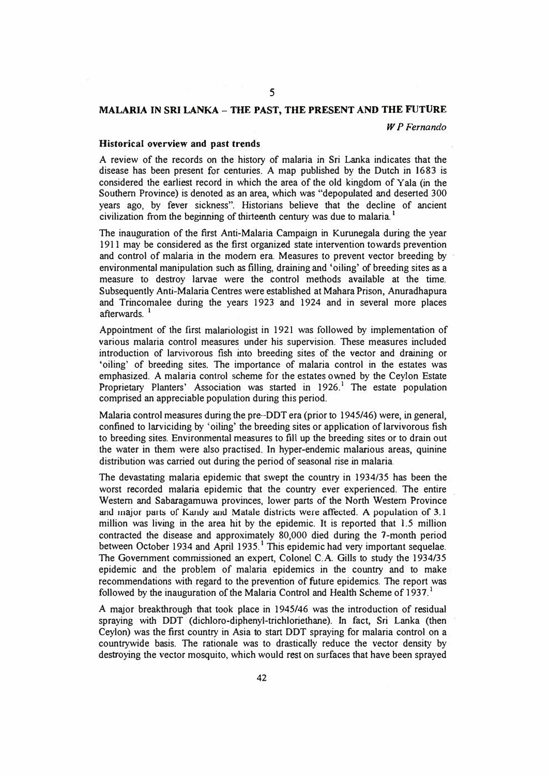# *5*

## **MALARIA** IN **SRI LANKA- THE PAST, THE PRESENT AND THE FUTURE**

*WP Fernando* 

#### **Historical overview and past trends**

A review of the records on the history of malaria in Sri Lanka indicates that the disease has been present for centuries. A map published by the Dutch in 1683 is considered the earliest record in which the area of the old kingdom of Y ala (in the Southern Province) is denoted as an area, which was "depopulated and deserted 300 years ago, by fever sickness". Historians believe that the decline of ancient civilization from the beginning of thirteenth century was due to malaria.<sup>1</sup>

The inauguration of the first Anti-Malaria Campaign in Kurunegala during the year 1911 may be considered as the first organized state intervention towards prevention and control of malaria in the modern era. Measures to prevent vector breeding by environmental manipulation such as filling, draining and 'oiling' of breeding sites as a measure to destroy larvae were the control methods available at the time. Subsequently Anti-Malaria Centres were established at Mahara Prison, Anuradhapura and Trincomalee during the years 1923 and 1924 and in several more places afterwards.<sup>1</sup>

Appointment of the first malariologist in 1921 was followed by implementation of various malaria control measures under his supervision. These measures included introduction of larvivorous fish into breeding sites of the vector and draining or 'oiling' of breeding sites. The importance of malaria control in the estates was emphasized. A malaria control scheme for the estates owned by the Ceylon Estate Proprietary Planters' Association was started in 1926.<sup>1</sup> The estate population comprised an appreciable population during this period.

Malaria control measures during the pre-DDT era (prior to 1945/46) were, in general, confined to larviciding by 'oiling' the breeding sites or application of larvivorous fish to breeding sites. Environmental measures to fill up the breeding sites or to drain out the water in them were also practised. 1n hyper-endemic malarious areas, quinine distribution was carried out during the period of seasonal rise in malaria.

The devastating malaria epidemic that swept the country in 1934/35 has been the worst recorded malaria epidemic that the country ever experienced. The entire Western and Sabaragamuwa provinces, lower parts of the North Western Province and major parts of Kandy and Matale districts were affected. A population of 3.1 million was living in the area hit by the epidemic. It is reported that 1.5 million contracted the disease and approximately 80,000 died during the 7-month period between October 1934 and April 1935.<sup>1</sup> This epidemic had very important sequelae. The Government commissioned an expert, Colonel C.A Gills to study the 1934/35 epidemic and the problem of malaria epidemics in the country and to make recommendations with regard to the prevention of future epidemics. The report was followed by the inauguration of the Malaria Control and Health Scheme of  $1937$ .<sup>1</sup>

A major breakthrough that took place in 1945/46 was the introduction of residual spraying with DDT (dichloro-diphenyl-trichloriethane). 1n fact, Sri Lanka (then Ceylon) was the first country in Asia to start DDT spraying for malaria control on a countrywide basis. The rationale was to drastically reduce the vector density by destroying the vector mosquito, which would rest on surfaces that have been sprayed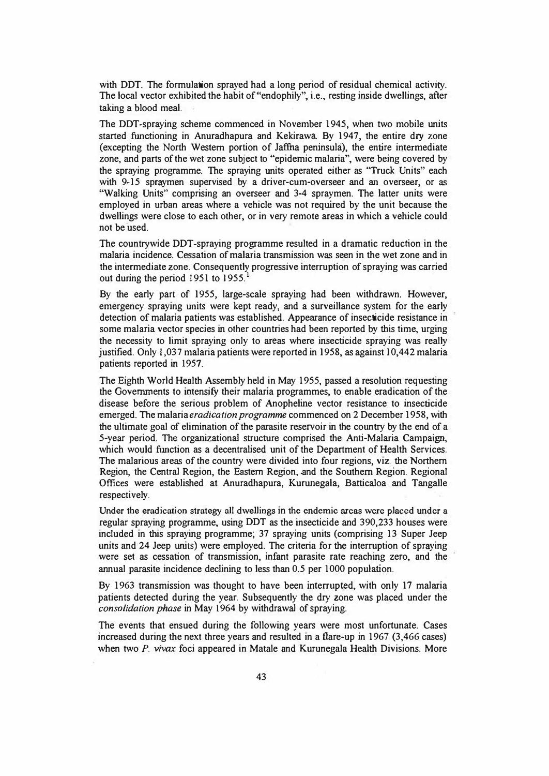with DDT. The formulation sprayed had a long period of residual chemical activity. The local vector exhibited the habit of "endophily", i.e., resting inside dwellings, after taking a blood meal.

The DDT-spraying scheme commenced in November 1945, when two mobile units started functioning in Anuradhapura and Kekirawa By 1947, the entire dry zone (excepting the North Western portion of Jaffila peninsula), the entire intermediate zone, and parts of the wet zone subject to "epidemic malaria", were being covered by the spraying programme. The spraying **units** operated either as "Truck Units" each with 9-15 spraymen supervised by a driver-cum-overseer and an overseer, or as "Walking Units" comprising an overseer and 3-4 spraymen. The latter units were employed in urban areas where a vehicle was not required by the unit because the dwellings were close to each other, or in very remote areas in which a vehicle could not be used.

The countrywide DDT-spraying programme resulted in a dramatic reduction in the malaria incidence. Cessation of malaria transmission was seen in the wet zone and in the intermediate zone. Consequently progressive interruption of spraying was carried out during the period 1951 to 1955.

By the early part of 1955, large-scale spraying had been withdrawn. However, emergency spraying **units** were kept ready, and a surveillance system for the early detection of malaria patients was established. Appearance of insecticide resistance in some malaria vector species in other countries had been reported by this time, urging the necessity to limit spraying only to areas where insecticide spraying was really justified. Only 1,037 malaria patients were reported in 1958, as against 10,442 malaria patients reported in 1957.

The Eighth World Health Assembly held in May 1955, passed a resolution requesting the Governments to intensify their malaria programmes, to enable eradication of the disease before the serious problem of Anopheline vector resistance to insecticide emerged. The malaria *eradication programme* commenced on 2 December 1958, with the ultimate goal of elimination of the parasite reservoir in the country by the end of a 5-year period. The organizational structure comprised the Anti-Malaria Campaign, which would function as a decentralised unit of the Department of Health Services. The malarious areas of the country were divided into four regions, viz. the Northern Region, the Central Region, the Eastern Region, .and the Southern Region. Regional Offices were established at Anuradhapura, Kurunegala, Batticaloa and Tangalle respectively.

**Under the eradication strategy** all **dwellings** in **the endemic areas were placed under a**  regular spraying programme, using DDT as the insecticide and 390,233 houses were included in this spraying programme; 37 spraying units (comprising 13 Super Jeep units and 24 Jeep units) were employed. The criteria for the interruption of spraying were set as cessation of transmission, infant parasite rate reaching zero, and the annual parasite incidence declining to less than 0.5 per 1000 population.

By 1963 transmission was thought to have been interrupted, with only 17 malaria patients detected during the year. Subsequently the dry zone was placed under the *consolidation phase* in May 1964 by withdrawal of spraying.

The events that ensued during the following years were most unfortunate. Cases increased during the next three years and resulted in a flare-up in 1967 (3,466 cases) when two *P. vivax* foci appeared in Matale and Kurunegala Health Divisions. More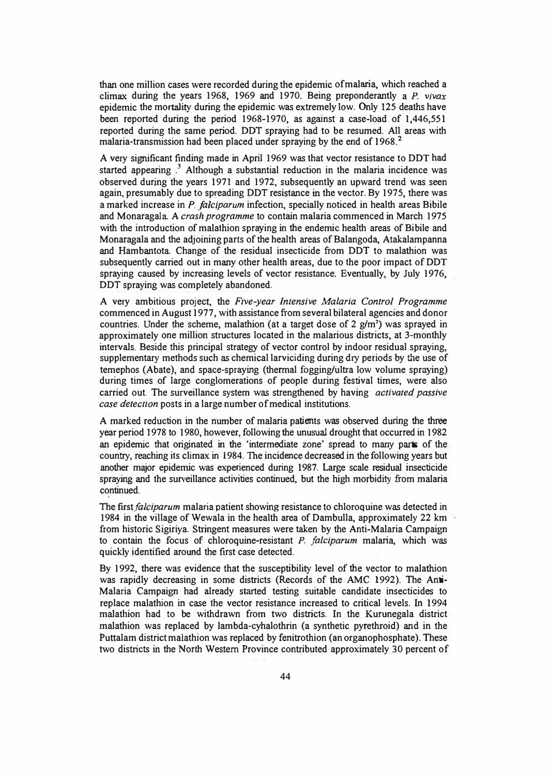than one million cases were recorded during the epidemic of malaria, which reached a climax during the years 1968, 1969 and 1970. Being preponderantly a *P. vivax*  epidemic the mortality during the epidemic was extremely low. Only 125 deaths have been reported during the period 1968-1970, as against a case-load of 1,446,551 reported during the same period. DDT spraying had to be resumed. All areas with malaria-transmission had been placed under spraying by the end of 1968. 2

A very significant finding made in April 1969 was that vector resistance to DDT had started appearing  $.3$  Although a substantial reduction in the malaria incidence was observed during the years 1971 and 1972, subsequently an upward trend was seen again, presumably due to spreading DDT resistance in the vector. By 1975, there was a marked increase in *P. falciparum* infection, specially noticed in health areas Bibile and Monaragala A *crash programme* to contain malaria commenced in March 1975 with the introduction of malathion spraying in the endemic health areas of Bibile and Monaragala and the adjoining parts of the health areas of Balangoda, Atakalampanna and Hambantota Change of the residual insecticide from DDT to malathion was subsequently carried out in many other health areas, due to the poor impact of DDT spraying caused by increasing levels of vector resistance. Eventually, by July 1976, DDT spraying was completely abandoned.

A very ambitious project, the *Five-year Intensive Malaria Control Programme*  commenced in August 1977, with assistance from several bilateral agencies and donor countries. Under the scheme, malathion (at a target dose of 2 g/m**<sup>1</sup> )** was sprayed in approximately one million structures located in the malarious districts, at 3-monthly intervals. Beside this principal strategy of vector control by indoor residual spraying, supplementary methods such as chemical larviciding during dry periods by the use of temephos (Abate), and space-spray<sup>i</sup>ng (thermal fogging/ultra low volume spraying) during times of large conglomerations of people during festival times, were also carried out. The surveillance system was strengthened by having *activated passive case detection* posts in a large number of medical institutions.

A marked reduction in the number of malaria patients was observed during the three year period 1978 to 1980, however, following the unusual drought that occurred in 1982 an epidemic that originated in the 'intermediate zone' spread to many parts of the country, reaching its climax in 1984. The incidence decreased in the following years but another major epidemic was experienced during 1987. Large scale residual insecticide spraying and the surveillance activities continued, but the high morbidity from malaria continued.

The *first falciparum* malaria patient showing resistance to chloroquine was detected in 1984 in the village of Wewala in the health area of Dambulla, approximately 22 km from historic Sigiriya. Stringent measures were taken by the Anti-Malaria Campaign to contain the focus of chloroquine-resistant *P. falciparum* malaria, which was quickly identified around the first case detected.

By 1992, there was evidence that the susceptibility level of the vector to malathion was rapidly decreasing in some districts (Records of the AMC 1992). The Anti-Malaria Campaign had already started testing suitable candidate insecticides to replace malathion in case the vector resistance increased to critical levels. In 1994 malathion had to be withdrawn from two districts. In the Kurunegala district malathion was replaced by lambda-cyhalothrin (a synthetic pyrethroid) and in the Puttalam district malathion was replaced by fenitrothion (an organophosphate). These two districts in the North Western Province contributed approximately 30 percent of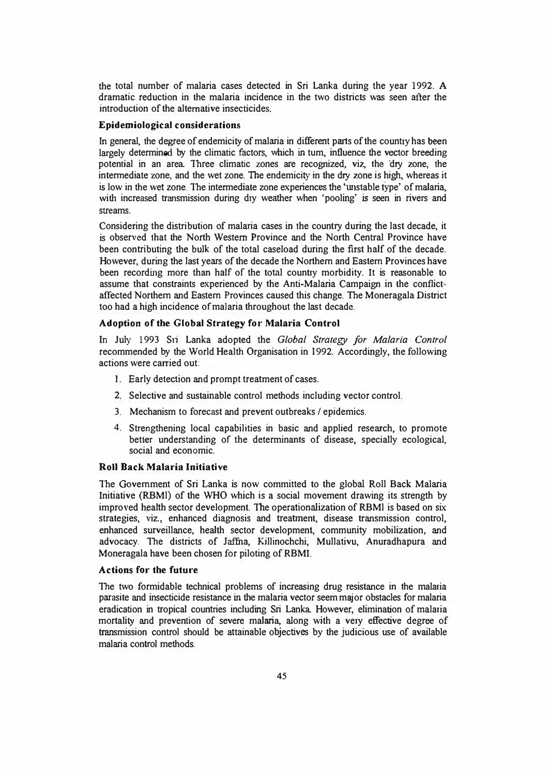the total number of malaria cases detected in Sri Lanka during the year 1992. **A**  dramatic reduction in the malaria incidence in the two districts was seen after the introduction of the alternative insecticides.

#### **Epidemiological considerations**

In general, the degree of endemicity of malaria in different parts of the country has been largely determined by the climatic factors, which in tum, influence the vector breeding potential in an area Three climatic zones are recognized, viz, the 'dry zone, the intennediate zone, and the wet zone. The endemicity in the dry zone is high, whereas it is low in the wet zone. The intermediate zone experiences the 'wtstable type' of malaria, with increased transmission during dry weather when 'pooling' is seen in rivers and streams.

Considering the distribution of malaria cases in the country during the last decade, it is observed that the North Western Province and the North Central Province have been contributing the bulk of the total caseload during the first half of the decade. However, during the last years of the decade the Northern and Eastern Provinces have been recording more than half of the total country morbidity. It is reasonable to assume that constraints experienced by the Anti-Malaria Campaign in the conflictaffected Northern and Eastern Provinces caused this change. The Moneragala District too had a high incidence of malaria throughout the last decade.

### **Adoption of the Global Strategy for Malaria Control**

In July 1993 Sri Lanka adopted the *Global Strategy for Malaria Control*  recommended by the World Health Organisation in 1992. Accordingly, the following actions were carried out:

- 1. Early detection and prompt treatment of cases.
- 2. Selective and sustainable control methods including vector control.
- 3. Mechanism to forecast and prevent outbreaks/ epidemics.
- 4. Strengthening local capabilities in basic and applied research, to promote better understanding of the determinants of disease, specially ecological, social and economic.

### **Roll Back Malaria Initiative**

The Government of Sri Lanka is now committed to the global Roll Back Malaria Initiative (RBMl) of the WHO which is a social movement drawing its strength by improved health sector development. The operationalization of RBMl is based on six strategies, viz., enhanced diagnosis and treatment, disease transmission control, enhanced surveillance, health sector development, community mobilization, and advocacy. The districts of Jaffua, Killinochchi, Mullativu, Anuradhapura and Moneragala have been chosen for piloting of RBMI.

#### **Actions for the future**

The two formidable technical problems of increasing drug resistance in the malaria parasite and insecticide resistance in the malaria vector seem major obstacles for malaria eradication in tropical countries including Sri Lanka However, elimination of malaria mortality and prevention of severe malaria, along with a very effective degree of transmission control should be attainable objectives by the judicious use of available malaria control methods.